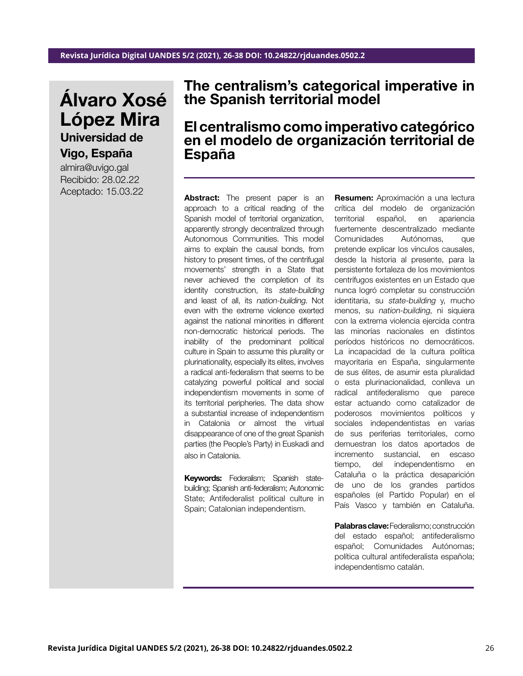# Álvaro Xosé López Mira Universidad de

Vigo, España

almira@uvigo.gal Recibido: 28.02.22 Aceptado: 15.03.22

## The centralism's categorical imperative in the Spanish territorial model

El centralismo como imperativo categórico en el modelo de organización territorial de España

Abstract: The present paper is an approach to a critical reading of the Spanish model of territorial organization, apparently strongly decentralized through Autonomous Communities. This model aims to explain the causal bonds, from history to present times, of the centrifugal movements' strength in a State that never achieved the completion of its identity construction, its state-building and least of all, its nation-building. Not even with the extreme violence exerted against the national minorities in different non-democratic historical periods. The inability of the predominant political culture in Spain to assume this plurality or plurinationality, especially its elites, involves a radical anti-federalism that seems to be catalyzing powerful political and social independentism movements in some of its territorial peripheries. The data show a substantial increase of independentism in Catalonia or almost the virtual disappearance of one of the great Spanish parties (the People's Party) in Euskadi and also in Catalonia.

Keywords: Federalism; Spanish statebuilding; Spanish anti-federalism; Autonomic State; Antifederalist political culture in Spain; Catalonian independentism.

Resumen: Aproximación a una lectura crítica del modelo de organización territorial español, en apariencia fuertemente descentralizado mediante Comunidades Autónomas, que pretende explicar los vínculos causales, desde la historia al presente, para la persistente fortaleza de los movimientos centrífugos existentes en un Estado que nunca logró completar su construcción identitaria, su state-building y, mucho menos, su nation-building, ni siquiera con la extrema violencia ejercida contra las minorías nacionales en distintos períodos históricos no democráticos. La incapacidad de la cultura política mayoritaria en España, singularmente de sus élites, de asumir esta pluralidad o esta plurinacionalidad, conlleva un radical antifederalismo que parece estar actuando como catalizador de poderosos movimientos políticos y sociales independentistas en varias de sus periferias territoriales, como demuestran los datos aportados de incremento sustancial, en escaso tiempo, del independentismo en Cataluña o la práctica desaparición de uno de los grandes partidos españoles (el Partido Popular) en el País Vasco y también en Cataluña.

Palabras clave: Federalismo; construcción del estado español; antifederalismo español; Comunidades Autónomas; política cultural antifederalista española; independentismo catalán.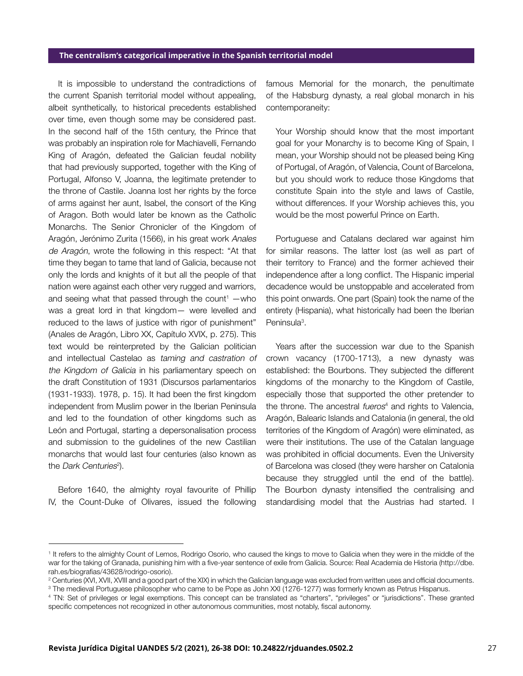It is impossible to understand the contradictions of the current Spanish territorial model without appealing, albeit synthetically, to historical precedents established over time, even though some may be considered past. In the second half of the 15th century, the Prince that was probably an inspiration role for Machiavelli, Fernando King of Aragón, defeated the Galician feudal nobility that had previously supported, together with the King of Portugal, Alfonso V, Joanna, the legitimate pretender to the throne of Castile. Joanna lost her rights by the force of arms against her aunt, Isabel, the consort of the King of Aragon. Both would later be known as the Catholic Monarchs. The Senior Chronicler of the Kingdom of Aragón, Jerónimo Zurita (1566), in his great work Anales de Aragón, wrote the following in this respect: "At that time they began to tame that land of Galicia, because not only the lords and knights of it but all the people of that nation were against each other very rugged and warriors, and seeing what that passed through the count $1 -$ who was a great lord in that kingdom— were levelled and reduced to the laws of justice with rigor of punishment" (Anales de Aragón, Libro XX, Capítulo XVIX, p. 275). This text would be reinterpreted by the Galician politician and intellectual Castelao as taming and castration of the Kingdom of Galicia in his parliamentary speech on the draft Constitution of 1931 (Discursos parlamentarios (1931-1933). 1978, p. 15). It had been the first kingdom independent from Muslim power in the Iberian Peninsula and led to the foundation of other kingdoms such as León and Portugal, starting a depersonalisation process and submission to the guidelines of the new Castilian monarchs that would last four centuries (also known as the *Dark Centuries*<sup>2</sup>).

Before 1640, the almighty royal favourite of Phillip IV, the Count-Duke of Olivares, issued the following

famous Memorial for the monarch, the penultimate of the Habsburg dynasty, a real global monarch in his contemporaneity:

Your Worship should know that the most important goal for your Monarchy is to become King of Spain, I mean, your Worship should not be pleased being King of Portugal, of Aragón, of Valencia, Count of Barcelona, but you should work to reduce those Kingdoms that constitute Spain into the style and laws of Castile, without differences. If your Worship achieves this, you would be the most powerful Prince on Earth.

Portuguese and Catalans declared war against him for similar reasons. The latter lost (as well as part of their territory to France) and the former achieved their independence after a long conflict. The Hispanic imperial decadence would be unstoppable and accelerated from this point onwards. One part (Spain) took the name of the entirety (Hispania), what historically had been the Iberian Peninsula<sup>3</sup>.

Years after the succession war due to the Spanish crown vacancy (1700-1713), a new dynasty was established: the Bourbons. They subjected the different kingdoms of the monarchy to the Kingdom of Castile, especially those that supported the other pretender to the throne. The ancestral fueros<sup>4</sup> and rights to Valencia, Aragón, Balearic Islands and Catalonia (in general, the old territories of the Kingdom of Aragón) were eliminated, as were their institutions. The use of the Catalan language was prohibited in official documents. Even the University of Barcelona was closed (they were harsher on Catalonia because they struggled until the end of the battle). The Bourbon dynasty intensified the centralising and standardising model that the Austrias had started. I

<sup>&</sup>lt;sup>1</sup> It refers to the almighty Count of Lemos, Rodrigo Osorio, who caused the kings to move to Galicia when they were in the middle of the war for the taking of Granada, punishing him with a five-year sentence of exile from Galicia. Source: Real Academia de Historia (http://dbe. rah.es/biografias/43628/rodrigo-osorio).

<sup>2</sup> Centuries (XVI, XVII, XVIII and a good part of the XIX) in which the Galician language was excluded from written uses and official documents. 3 The medieval Portuguese philosopher who came to be Pope as John XXI (1276-1277) was formerly known as Petrus Hispanus.

<sup>4</sup> TN: Set of privileges or legal exemptions. This concept can be translated as "charters", "privileges" or "jurisdictions". These granted specific competences not recognized in other autonomous communities, most notably, fiscal autonomy.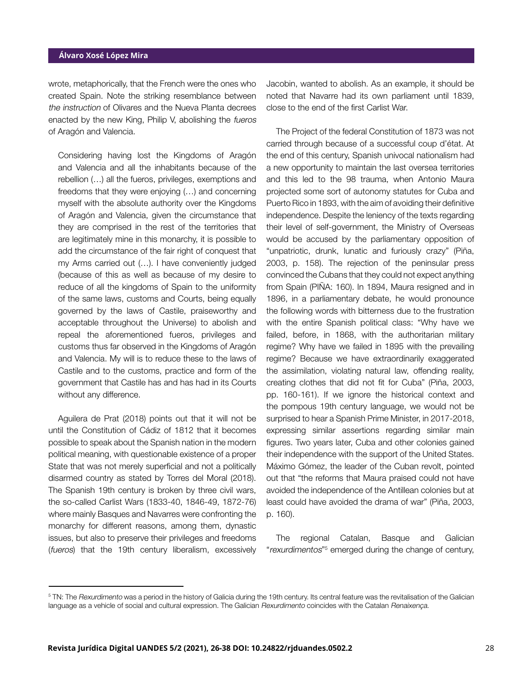wrote, metaphorically, that the French were the ones who created Spain. Note the striking resemblance between the instruction of Olivares and the Nueva Planta decrees enacted by the new King, Philip V, abolishing the fueros of Aragón and Valencia.

Considering having lost the Kingdoms of Aragón and Valencia and all the inhabitants because of the rebellion (…) all the fueros, privileges, exemptions and freedoms that they were enjoying (…) and concerning myself with the absolute authority over the Kingdoms of Aragón and Valencia, given the circumstance that they are comprised in the rest of the territories that are legitimately mine in this monarchy, it is possible to add the circumstance of the fair right of conquest that my Arms carried out (…). I have conveniently judged (because of this as well as because of my desire to reduce of all the kingdoms of Spain to the uniformity of the same laws, customs and Courts, being equally governed by the laws of Castile, praiseworthy and acceptable throughout the Universe) to abolish and repeal the aforementioned fueros, privileges and customs thus far observed in the Kingdoms of Aragón and Valencia. My will is to reduce these to the laws of Castile and to the customs, practice and form of the government that Castile has and has had in its Courts without any difference.

Aguilera de Prat (2018) points out that it will not be until the Constitution of Cádiz of 1812 that it becomes possible to speak about the Spanish nation in the modern political meaning, with questionable existence of a proper State that was not merely superficial and not a politically disarmed country as stated by Torres del Moral (2018). The Spanish 19th century is broken by three civil wars, the so-called Carlist Wars (1833-40, 1846-49, 1872-76) where mainly Basques and Navarres were confronting the monarchy for different reasons, among them, dynastic issues, but also to preserve their privileges and freedoms (fueros) that the 19th century liberalism, excessively Jacobin, wanted to abolish. As an example, it should be noted that Navarre had its own parliament until 1839, close to the end of the first Carlist War.

The Project of the federal Constitution of 1873 was not carried through because of a successful coup d'état. At the end of this century, Spanish univocal nationalism had a new opportunity to maintain the last oversea territories and this led to the 98 trauma, when Antonio Maura projected some sort of autonomy statutes for Cuba and Puerto Rico in 1893, with the aim of avoiding their definitive independence. Despite the leniency of the texts regarding their level of self-government, the Ministry of Overseas would be accused by the parliamentary opposition of "unpatriotic, drunk, lunatic and furiously crazy" (Piña, 2003, p. 158). The rejection of the peninsular press convinced the Cubans that they could not expect anything from Spain (PIÑA: 160). In 1894, Maura resigned and in 1896, in a parliamentary debate, he would pronounce the following words with bitterness due to the frustration with the entire Spanish political class: "Why have we failed, before, in 1868, with the authoritarian military regime? Why have we failed in 1895 with the prevailing regime? Because we have extraordinarily exaggerated the assimilation, violating natural law, offending reality, creating clothes that did not fit for Cuba" (Piña, 2003, pp. 160-161). If we ignore the historical context and the pompous 19th century language, we would not be surprised to hear a Spanish Prime Minister, in 2017-2018, expressing similar assertions regarding similar main figures. Two years later, Cuba and other colonies gained their independence with the support of the United States. Máximo Gómez, the leader of the Cuban revolt, pointed out that "the reforms that Maura praised could not have avoided the independence of the Antillean colonies but at least could have avoided the drama of war" (Piña, 2003, p. 160).

The regional Catalan, Basque and Galician "rexurdimentos"<sup>5</sup> emerged during the change of century,

<sup>&</sup>lt;sup>5</sup> TN: The *Rexurdimento* was a period in the history of Galicia during the 19th century. Its central feature was the revitalisation of the Galician language as a vehicle of social and cultural expression. The Galician Rexurdimento coincides with the Catalan Renaixença.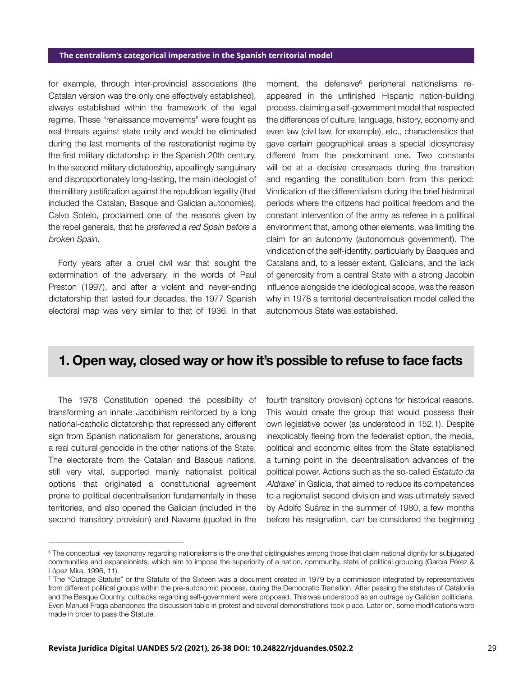for example, through inter-provincial associations (the Catalan version was the only one effectively established), always established within the framework of the legal regime. These "renaissance movements" were fought as real threats against state unity and would be eliminated during the last moments of the restorationist regime by the first military dictatorship in the Spanish 20th century. In the second military dictatorship, appallingly sanguinary and disproportionately long-lasting, the main ideologist of the military justification against the republican legality (that included the Catalan, Basque and Galician autonomies), Calvo Sotelo, proclaimed one of the reasons given by the rebel generals, that he preferred a red Spain before a broken Spain.

Forty years after a cruel civil war that sought the extermination of the adversary, in the words of Paul Preston (1997), and after a violent and never-ending dictatorship that lasted four decades, the 1977 Spanish electoral map was very similar to that of 1936. In that

moment, the defensive<sup>6</sup> peripheral nationalisms reappeared in the unfinished Hispanic nation-building process, claiming a self-government model that respected the differences of culture, language, history, economy and even law (civil law, for example), etc., characteristics that gave certain geographical areas a special idiosyncrasy different from the predominant one. Two constants will be at a decisive crossroads during the transition and regarding the constitution born from this period: Vindication of the differentialism during the brief historical periods where the citizens had political freedom and the constant intervention of the army as referee in a political environment that, among other elements, was limiting the claim for an autonomy (autonomous government). The vindication of the self-identity, particularly by Basques and Catalans and, to a lesser extent, Galicians, and the lack of generosity from a central State with a strong Jacobin influence alongside the ideological scope, was the reason why in 1978 a territorial decentralisation model called the autonomous State was established.

## 1. Open way, closed way or how it's possible to refuse to face facts

The 1978 Constitution opened the possibility of transforming an innate Jacobinism reinforced by a long national-catholic dictatorship that repressed any different sign from Spanish nationalism for generations, arousing a real cultural genocide in the other nations of the State. The electorate from the Catalan and Basque nations, still very vital, supported mainly nationalist political options that originated a constitutional agreement prone to political decentralisation fundamentally in these territories, and also opened the Galician (included in the second transitory provision) and Navarre (quoted in the

fourth transitory provision) options for historical reasons. This would create the group that would possess their own legislative power (as understood in 152.1). Despite inexplicably fleeing from the federalist option, the media, political and economic elites from the State established a turning point in the decentralisation advances of the political power. Actions such as the so-called Estatuto da Aldraxe<sup>7</sup> in Galicia, that aimed to reduce its competences to a regionalist second division and was ultimately saved by Adolfo Suárez in the summer of 1980, a few months before his resignation, can be considered the beginning

<sup>6</sup> The conceptual key taxonomy regarding nationalisms is the one that distinguishes among those that claim national dignity for subjugated communities and expansionists, which aim to impose the superiority of a nation, community, state of political grouping (García Pérez & López Mira, 1996, 11).

<sup>7</sup> The "Outrage Statute" or the Statute of the Sixteen was a document created in 1979 by a commission integrated by representatives from different political groups within the pre-autonomic process, during the Democratic Transition. After passing the statutes of Catalonia and the Basque Country, cutbacks regarding self-government were proposed. This was understood as an outrage by Galician politicians. Even Manuel Fraga abandoned the discussion table in protest and several demonstrations took place. Later on, some modifications were made in order to pass the Statute.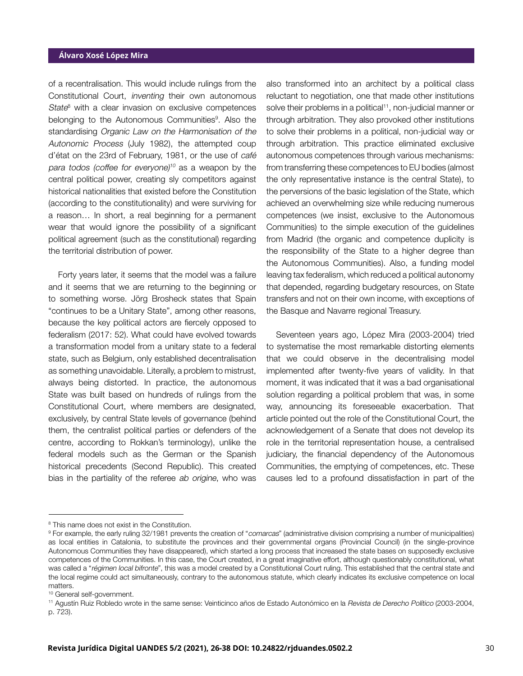of a recentralisation. This would include rulings from the Constitutional Court, inventing their own autonomous State<sup>8</sup> with a clear invasion on exclusive competences belonging to the Autonomous Communities<sup>9</sup>. Also the standardising Organic Law on the Harmonisation of the Autonomic Process (July 1982), the attempted coup d'état on the 23rd of February, 1981, or the use of café para todos (coffee for everyone) $10$  as a weapon by the central political power, creating sly competitors against historical nationalities that existed before the Constitution (according to the constitutionality) and were surviving for a reason… In short, a real beginning for a permanent wear that would ignore the possibility of a significant political agreement (such as the constitutional) regarding the territorial distribution of power.

Forty years later, it seems that the model was a failure and it seems that we are returning to the beginning or to something worse. Jörg Brosheck states that Spain "continues to be a Unitary State", among other reasons, because the key political actors are fiercely opposed to federalism (2017: 52). What could have evolved towards a transformation model from a unitary state to a federal state, such as Belgium, only established decentralisation as something unavoidable. Literally, a problem to mistrust, always being distorted. In practice, the autonomous State was built based on hundreds of rulings from the Constitutional Court, where members are designated, exclusively, by central State levels of governance (behind them, the centralist political parties or defenders of the centre, according to Rokkan's terminology), unlike the federal models such as the German or the Spanish historical precedents (Second Republic). This created bias in the partiality of the referee ab origine, who was also transformed into an architect by a political class reluctant to negotiation, one that made other institutions solve their problems in a political<sup>11</sup>, non-judicial manner or through arbitration. They also provoked other institutions to solve their problems in a political, non-judicial way or through arbitration. This practice eliminated exclusive autonomous competences through various mechanisms: from transferring these competences to EU bodies (almost the only representative instance is the central State), to the perversions of the basic legislation of the State, which achieved an overwhelming size while reducing numerous competences (we insist, exclusive to the Autonomous Communities) to the simple execution of the guidelines from Madrid (the organic and competence duplicity is the responsibility of the State to a higher degree than the Autonomous Communities). Also, a funding model leaving tax federalism, which reduced a political autonomy that depended, regarding budgetary resources, on State transfers and not on their own income, with exceptions of the Basque and Navarre regional Treasury.

Seventeen years ago, López Mira (2003-2004) tried to systematise the most remarkable distorting elements that we could observe in the decentralising model implemented after twenty-five years of validity. In that moment, it was indicated that it was a bad organisational solution regarding a political problem that was, in some way, announcing its foreseeable exacerbation. That article pointed out the role of the Constitutional Court, the acknowledgement of a Senate that does not develop its role in the territorial representation house, a centralised judiciary, the financial dependency of the Autonomous Communities, the emptying of competences, etc. These causes led to a profound dissatisfaction in part of the

<sup>&</sup>lt;sup>8</sup> This name does not exist in the Constitution.

<sup>&</sup>lt;sup>9</sup> For example, the early ruling 32/1981 prevents the creation of "comarcas" (administrative division comprising a number of municipalities) as local entities in Catalonia, to substitute the provinces and their governmental organs (Provincial Council) (in the single-province Autonomous Communities they have disappeared), which started a long process that increased the state bases on supposedly exclusive competences of the Communities. In this case, the Court created, in a great imaginative effort, although questionably constitutional, what was called a "régimen local bifronte", this was a model created by a Constitutional Court ruling. This established that the central state and the local regime could act simultaneously, contrary to the autonomous statute, which clearly indicates its exclusive competence on local matters.

<sup>10</sup> General self-government.

<sup>11</sup> Agustín Ruiz Robledo wrote in the same sense: Veinticinco años de Estado Autonómico en la Revista de Derecho Político (2003-2004, p. 723).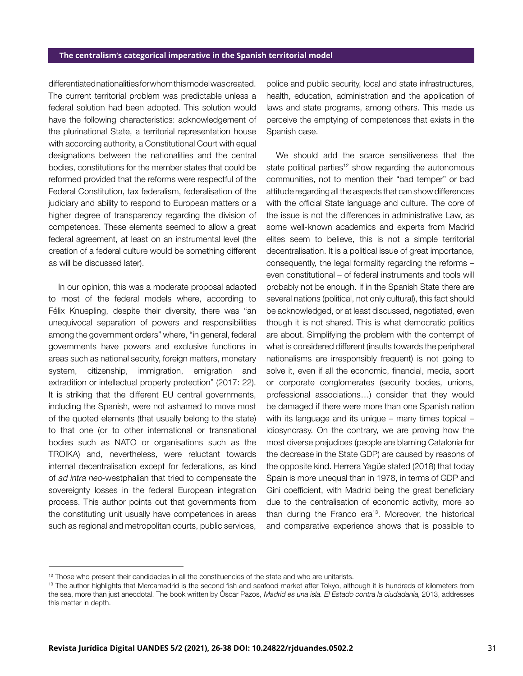differentiated nationalities for whom this model was created. The current territorial problem was predictable unless a federal solution had been adopted. This solution would have the following characteristics: acknowledgement of the plurinational State, a territorial representation house with according authority, a Constitutional Court with equal designations between the nationalities and the central bodies, constitutions for the member states that could be reformed provided that the reforms were respectful of the Federal Constitution, tax federalism, federalisation of the judiciary and ability to respond to European matters or a higher degree of transparency regarding the division of competences. These elements seemed to allow a great federal agreement, at least on an instrumental level (the creation of a federal culture would be something different as will be discussed later).

In our opinion, this was a moderate proposal adapted to most of the federal models where, according to Félix Knuepling, despite their diversity, there was "an unequivocal separation of powers and responsibilities among the government orders" where, "in general, federal governments have powers and exclusive functions in areas such as national security, foreign matters, monetary system, citizenship, immigration, emigration and extradition or intellectual property protection" (2017: 22). It is striking that the different EU central governments, including the Spanish, were not ashamed to move most of the quoted elements (that usually belong to the state) to that one (or to other international or transnational bodies such as NATO or organisations such as the TROIKA) and, nevertheless, were reluctant towards internal decentralisation except for federations, as kind of ad intra neo-westphalian that tried to compensate the sovereignty losses in the federal European integration process. This author points out that governments from the constituting unit usually have competences in areas such as regional and metropolitan courts, public services,

police and public security, local and state infrastructures, health, education, administration and the application of laws and state programs, among others. This made us perceive the emptying of competences that exists in the Spanish case.

We should add the scarce sensitiveness that the state political parties<sup>12</sup> show regarding the autonomous communities, not to mention their "bad temper" or bad attitude regarding all the aspects that can show differences with the official State language and culture. The core of the issue is not the differences in administrative Law, as some well-known academics and experts from Madrid elites seem to believe, this is not a simple territorial decentralisation. It is a political issue of great importance, consequently, the legal formality regarding the reforms – even constitutional – of federal instruments and tools will probably not be enough. If in the Spanish State there are several nations (political, not only cultural), this fact should be acknowledged, or at least discussed, negotiated, even though it is not shared. This is what democratic politics are about. Simplifying the problem with the contempt of what is considered different (insults towards the peripheral nationalisms are irresponsibly frequent) is not going to solve it, even if all the economic, financial, media, sport or corporate conglomerates (security bodies, unions, professional associations…) consider that they would be damaged if there were more than one Spanish nation with its language and its unique – many times topical – idiosyncrasy. On the contrary, we are proving how the most diverse prejudices (people are blaming Catalonia for the decrease in the State GDP) are caused by reasons of the opposite kind. Herrera Yagüe stated (2018) that today Spain is more unequal than in 1978, in terms of GDP and Gini coefficient, with Madrid being the great beneficiary due to the centralisation of economic activity, more so than during the Franco era $13$ . Moreover, the historical and comparative experience shows that is possible to

 $12$  Those who present their candidacies in all the constituencies of the state and who are unitarists.

<sup>&</sup>lt;sup>13</sup> The author highlights that Mercamadrid is the second fish and seafood market after Tokyo, although it is hundreds of kilometers from the sea, more than just anecdotal. The book written by Óscar Pazos, Madrid es una isla. El Estado contra la ciudadanía, 2013, addresses this matter in depth.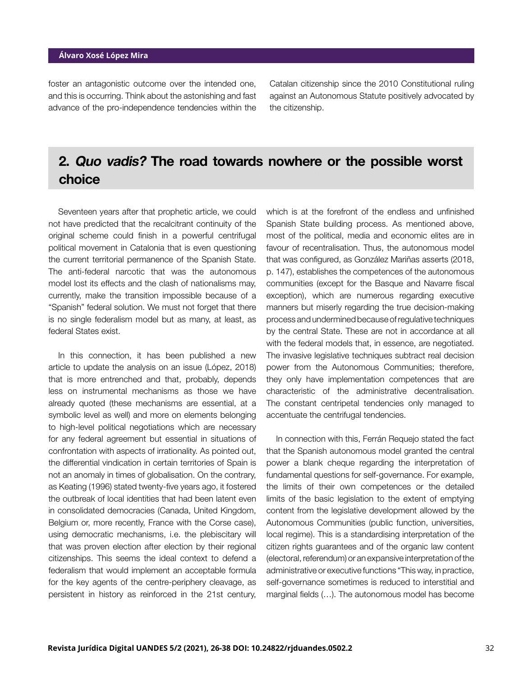foster an antagonistic outcome over the intended one, and this is occurring. Think about the astonishing and fast advance of the pro-independence tendencies within the Catalan citizenship since the 2010 Constitutional ruling against an Autonomous Statute positively advocated by the citizenship.

## 2. Quo vadis? The road towards nowhere or the possible worst choice

Seventeen years after that prophetic article, we could not have predicted that the recalcitrant continuity of the original scheme could finish in a powerful centrifugal political movement in Catalonia that is even questioning the current territorial permanence of the Spanish State. The anti-federal narcotic that was the autonomous model lost its effects and the clash of nationalisms may, currently, make the transition impossible because of a "Spanish" federal solution. We must not forget that there is no single federalism model but as many, at least, as federal States exist.

In this connection, it has been published a new article to update the analysis on an issue (López, 2018) that is more entrenched and that, probably, depends less on instrumental mechanisms as those we have already quoted (these mechanisms are essential, at a symbolic level as well) and more on elements belonging to high-level political negotiations which are necessary for any federal agreement but essential in situations of confrontation with aspects of irrationality. As pointed out, the differential vindication in certain territories of Spain is not an anomaly in times of globalisation. On the contrary, as Keating (1996) stated twenty-five years ago, it fostered the outbreak of local identities that had been latent even in consolidated democracies (Canada, United Kingdom, Belgium or, more recently, France with the Corse case), using democratic mechanisms, i.e. the plebiscitary will that was proven election after election by their regional citizenships. This seems the ideal context to defend a federalism that would implement an acceptable formula for the key agents of the centre-periphery cleavage, as persistent in history as reinforced in the 21st century,

which is at the forefront of the endless and unfinished Spanish State building process. As mentioned above, most of the political, media and economic elites are in favour of recentralisation. Thus, the autonomous model that was configured, as González Mariñas asserts (2018, p. 147), establishes the competences of the autonomous communities (except for the Basque and Navarre fiscal exception), which are numerous regarding executive manners but miserly regarding the true decision-making process and undermined because of regulative techniques by the central State. These are not in accordance at all with the federal models that, in essence, are negotiated. The invasive legislative techniques subtract real decision power from the Autonomous Communities; therefore, they only have implementation competences that are characteristic of the administrative decentralisation. The constant centripetal tendencies only managed to accentuate the centrifugal tendencies.

In connection with this, Ferrán Requejo stated the fact that the Spanish autonomous model granted the central power a blank cheque regarding the interpretation of fundamental questions for self-governance. For example, the limits of their own competences or the detailed limits of the basic legislation to the extent of emptying content from the legislative development allowed by the Autonomous Communities (public function, universities, local regime). This is a standardising interpretation of the citizen rights guarantees and of the organic law content (electoral, referendum) or an expansive interpretation of the administrative or executive functions "This way, in practice, self-governance sometimes is reduced to interstitial and marginal fields (…). The autonomous model has become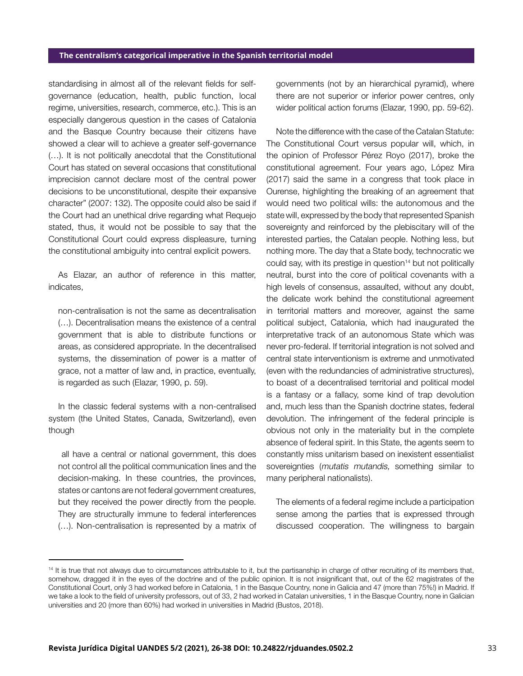standardising in almost all of the relevant fields for selfgovernance (education, health, public function, local regime, universities, research, commerce, etc.). This is an especially dangerous question in the cases of Catalonia and the Basque Country because their citizens have showed a clear will to achieve a greater self-governance (…). It is not politically anecdotal that the Constitutional Court has stated on several occasions that constitutional imprecision cannot declare most of the central power decisions to be unconstitutional, despite their expansive character" (2007: 132). The opposite could also be said if the Court had an unethical drive regarding what Requejo stated, thus, it would not be possible to say that the Constitutional Court could express displeasure, turning the constitutional ambiguity into central explicit powers.

As Elazar, an author of reference in this matter, indicates,

non-centralisation is not the same as decentralisation (…). Decentralisation means the existence of a central government that is able to distribute functions or areas, as considered appropriate. In the decentralised systems, the dissemination of power is a matter of grace, not a matter of law and, in practice, eventually, is regarded as such (Elazar, 1990, p. 59).

In the classic federal systems with a non-centralised system (the United States, Canada, Switzerland), even though

 all have a central or national government, this does not control all the political communication lines and the decision-making. In these countries, the provinces, states or cantons are not federal government creatures, but they received the power directly from the people. They are structurally immune to federal interferences (…). Non-centralisation is represented by a matrix of governments (not by an hierarchical pyramid), where there are not superior or inferior power centres, only wider political action forums (Elazar, 1990, pp. 59-62).

Note the difference with the case of the Catalan Statute: The Constitutional Court versus popular will, which, in the opinion of Professor Pérez Royo (2017), broke the constitutional agreement. Four years ago, López Mira (2017) said the same in a congress that took place in Ourense, highlighting the breaking of an agreement that would need two political wills: the autonomous and the state will, expressed by the body that represented Spanish sovereignty and reinforced by the plebiscitary will of the interested parties, the Catalan people. Nothing less, but nothing more. The day that a State body, technocratic we could say, with its prestige in question<sup>14</sup> but not politically neutral, burst into the core of political covenants with a high levels of consensus, assaulted, without any doubt, the delicate work behind the constitutional agreement in territorial matters and moreover, against the same political subject, Catalonia, which had inaugurated the interpretative track of an autonomous State which was never pro-federal. If territorial integration is not solved and central state interventionism is extreme and unmotivated (even with the redundancies of administrative structures), to boast of a decentralised territorial and political model is a fantasy or a fallacy, some kind of trap devolution and, much less than the Spanish doctrine states, federal devolution. The infringement of the federal principle is obvious not only in the materiality but in the complete absence of federal spirit. In this State, the agents seem to constantly miss unitarism based on inexistent essentialist sovereignties (mutatis mutandis, something similar to many peripheral nationalists).

The elements of a federal regime include a participation sense among the parties that is expressed through discussed cooperation. The willingness to bargain

<sup>&</sup>lt;sup>14</sup> It is true that not always due to circumstances attributable to it, but the partisanship in charge of other recruiting of its members that, somehow, dragged it in the eyes of the doctrine and of the public opinion. It is not insignificant that, out of the 62 magistrates of the Constitutional Court, only 3 had worked before in Catalonia, 1 in the Basque Country, none in Galicia and 47 (more than 75%!) in Madrid. If we take a look to the field of university professors, out of 33, 2 had worked in Catalan universities, 1 in the Basque Country, none in Galician universities and 20 (more than 60%) had worked in universities in Madrid (Bustos, 2018).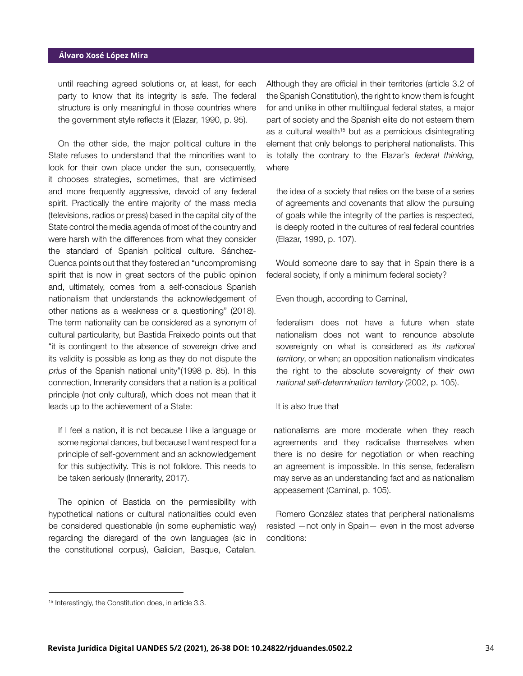until reaching agreed solutions or, at least, for each party to know that its integrity is safe. The federal structure is only meaningful in those countries where the government style reflects it (Elazar, 1990, p. 95).

On the other side, the major political culture in the State refuses to understand that the minorities want to look for their own place under the sun, consequently, it chooses strategies, sometimes, that are victimised and more frequently aggressive, devoid of any federal spirit. Practically the entire majority of the mass media (televisions, radios or press) based in the capital city of the State control the media agenda of most of the country and were harsh with the differences from what they consider the standard of Spanish political culture. Sánchez-Cuenca points out that they fostered an "uncompromising spirit that is now in great sectors of the public opinion and, ultimately, comes from a self-conscious Spanish nationalism that understands the acknowledgement of other nations as a weakness or a questioning" (2018). The term nationality can be considered as a synonym of cultural particularity, but Bastida Freixedo points out that "it is contingent to the absence of sovereign drive and its validity is possible as long as they do not dispute the prius of the Spanish national unity"(1998 p. 85). In this connection, Innerarity considers that a nation is a political principle (not only cultural), which does not mean that it leads up to the achievement of a State:

If I feel a nation, it is not because I like a language or some regional dances, but because I want respect for a principle of self-government and an acknowledgement for this subjectivity. This is not folklore. This needs to be taken seriously (Innerarity, 2017).

The opinion of Bastida on the permissibility with hypothetical nations or cultural nationalities could even be considered questionable (in some euphemistic way) regarding the disregard of the own languages (sic in the constitutional corpus), Galician, Basque, Catalan.

Although they are official in their territories (article 3.2 of the Spanish Constitution), the right to know them is fought for and unlike in other multilingual federal states, a major part of society and the Spanish elite do not esteem them as a cultural wealth<sup>15</sup> but as a pernicious disintegrating element that only belongs to peripheral nationalists. This is totally the contrary to the Elazar's federal thinking, where

the idea of a society that relies on the base of a series of agreements and covenants that allow the pursuing of goals while the integrity of the parties is respected, is deeply rooted in the cultures of real federal countries (Elazar, 1990, p. 107).

Would someone dare to say that in Spain there is a federal society, if only a minimum federal society?

Even though, according to Caminal,

federalism does not have a future when state nationalism does not want to renounce absolute sovereignty on what is considered as its national territory, or when; an opposition nationalism vindicates the right to the absolute sovereignty of their own national self-determination territory (2002, p. 105).

### It is also true that

nationalisms are more moderate when they reach agreements and they radicalise themselves when there is no desire for negotiation or when reaching an agreement is impossible. In this sense, federalism may serve as an understanding fact and as nationalism appeasement (Caminal, p. 105).

Romero González states that peripheral nationalisms resisted —not only in Spain— even in the most adverse conditions:

<sup>&</sup>lt;sup>15</sup> Interestingly, the Constitution does, in article 3.3.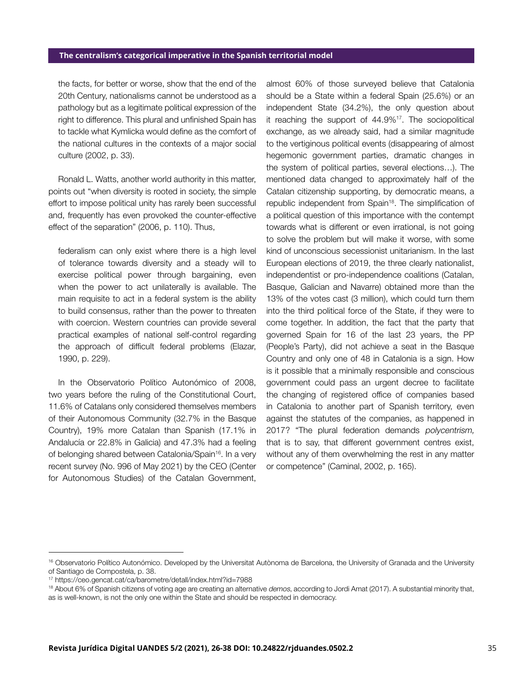the facts, for better or worse, show that the end of the 20th Century, nationalisms cannot be understood as a pathology but as a legitimate political expression of the right to difference. This plural and unfinished Spain has to tackle what Kymlicka would define as the comfort of the national cultures in the contexts of a major social culture (2002, p. 33).

Ronald L. Watts, another world authority in this matter, points out "when diversity is rooted in society, the simple effort to impose political unity has rarely been successful and, frequently has even provoked the counter-effective effect of the separation" (2006, p. 110). Thus,

federalism can only exist where there is a high level of tolerance towards diversity and a steady will to exercise political power through bargaining, even when the power to act unilaterally is available. The main requisite to act in a federal system is the ability to build consensus, rather than the power to threaten with coercion. Western countries can provide several practical examples of national self-control regarding the approach of difficult federal problems (Elazar, 1990, p. 229).

In the Observatorio Político Autonómico of 2008, two years before the ruling of the Constitutional Court, 11.6% of Catalans only considered themselves members of their Autonomous Community (32.7% in the Basque Country), 19% more Catalan than Spanish (17.1% in Andalucía or 22.8% in Galicia) and 47.3% had a feeling of belonging shared between Catalonia/Spain<sup>16</sup>. In a very recent survey (No. 996 of May 2021) by the CEO (Center for Autonomous Studies) of the Catalan Government,

almost 60% of those surveyed believe that Catalonia should be a State within a federal Spain (25.6%) or an independent State (34.2%), the only question about it reaching the support of  $44.9\%$ <sup>17</sup>. The sociopolitical exchange, as we already said, had a similar magnitude to the vertiginous political events (disappearing of almost hegemonic government parties, dramatic changes in the system of political parties, several elections…). The mentioned data changed to approximately half of the Catalan citizenship supporting, by democratic means, a republic independent from Spain<sup>18</sup>. The simplification of a political question of this importance with the contempt towards what is different or even irrational, is not going to solve the problem but will make it worse, with some kind of unconscious secessionist unitarianism. In the last European elections of 2019, the three clearly nationalist, independentist or pro-independence coalitions (Catalan, Basque, Galician and Navarre) obtained more than the 13% of the votes cast (3 million), which could turn them into the third political force of the State, if they were to come together. In addition, the fact that the party that governed Spain for 16 of the last 23 years, the PP (People's Party), did not achieve a seat in the Basque Country and only one of 48 in Catalonia is a sign. How is it possible that a minimally responsible and conscious government could pass an urgent decree to facilitate the changing of registered office of companies based in Catalonia to another part of Spanish territory, even against the statutes of the companies, as happened in 2017? "The plural federation demands polycentrism, that is to say, that different government centres exist, without any of them overwhelming the rest in any matter or competence" (Caminal, 2002, p. 165).

<sup>&</sup>lt;sup>16</sup> Observatorio Político Autonómico. Developed by the Universitat Autònoma de Barcelona, the University of Granada and the University of Santiago de Compostela, p. 38.

<sup>17</sup> https://ceo.gencat.cat/ca/barometre/detall/index.html?id=7988

<sup>&</sup>lt;sup>18</sup> About 6% of Spanish citizens of voting age are creating an alternative demos, according to Jordi Amat (2017). A substantial minority that, as is well-known, is not the only one within the State and should be respected in democracy.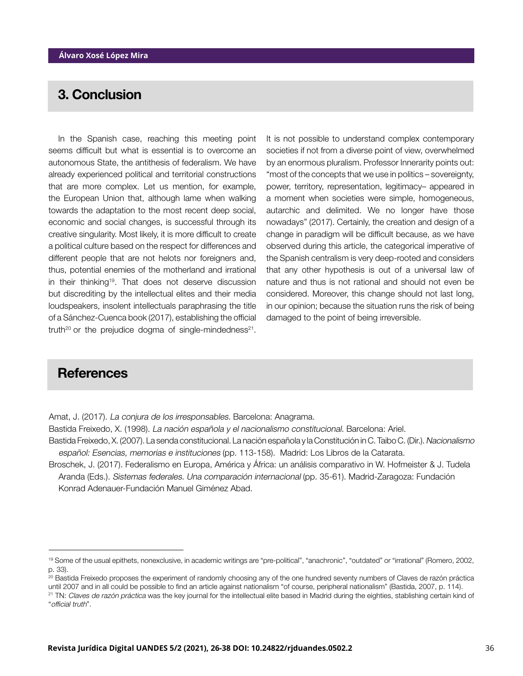## 3. Conclusion

In the Spanish case, reaching this meeting point seems difficult but what is essential is to overcome an autonomous State, the antithesis of federalism. We have already experienced political and territorial constructions that are more complex. Let us mention, for example, the European Union that, although lame when walking towards the adaptation to the most recent deep social, economic and social changes, is successful through its creative singularity. Most likely, it is more difficult to create a political culture based on the respect for differences and different people that are not helots nor foreigners and, thus, potential enemies of the motherland and irrational in their thinking<sup>19</sup>. That does not deserve discussion but discrediting by the intellectual elites and their media loudspeakers, insolent intellectuals paraphrasing the title of a Sánchez-Cuenca book (2017), establishing the official truth<sup>20</sup> or the prejudice dogma of single-mindedness<sup>21</sup>.

It is not possible to understand complex contemporary societies if not from a diverse point of view, overwhelmed by an enormous pluralism. Professor Innerarity points out: "most of the concepts that we use in politics – sovereignty, power, territory, representation, legitimacy– appeared in a moment when societies were simple, homogeneous, autarchic and delimited. We no longer have those nowadays" (2017). Certainly, the creation and design of a change in paradigm will be difficult because, as we have observed during this article, the categorical imperative of the Spanish centralism is very deep-rooted and considers that any other hypothesis is out of a universal law of nature and thus is not rational and should not even be considered. Moreover, this change should not last long, in our opinion; because the situation runs the risk of being damaged to the point of being irreversible.

### **References**

Amat, J. (2017). La conjura de los irresponsables. Barcelona: Anagrama.

Bastida Freixedo, X. (1998). La nación española y el nacionalismo constitucional. Barcelona: Ariel.

Bastida Freixedo, X. (2007). La senda constitucional. La nación española y la Constitución in C. Taibo C. (Dir.). Nacionalismo español: Esencias, memorias e instituciones (pp. 113-158). Madrid: Los Libros de la Catarata.

Broschek, J. (2017). Federalismo en Europa, América y África: un análisis comparativo in W. Hofmeister & J. Tudela Aranda (Eds.). Sistemas federales. Una comparación internacional (pp. 35-61). Madrid-Zaragoza: Fundación Konrad Adenauer-Fundación Manuel Giménez Abad.

<sup>19</sup> Some of the usual epithets, nonexclusive, in academic writings are "pre-political", "anachronic", "outdated" or "irrational" (Romero, 2002, p. 33).

<sup>&</sup>lt;sup>20</sup> Bastida Freixedo proposes the experiment of randomly choosing any of the one hundred seventy numbers of Claves de razón práctica until 2007 and in all could be possible to find an article against nationalism "of course, peripheral nationalism" (Bastida, 2007, p. 114). <sup>21</sup> TN: Claves de razón práctica was the key journal for the intellectual elite based in Madrid during the eighties, stablishing certain kind of

<sup>&</sup>quot;official truth".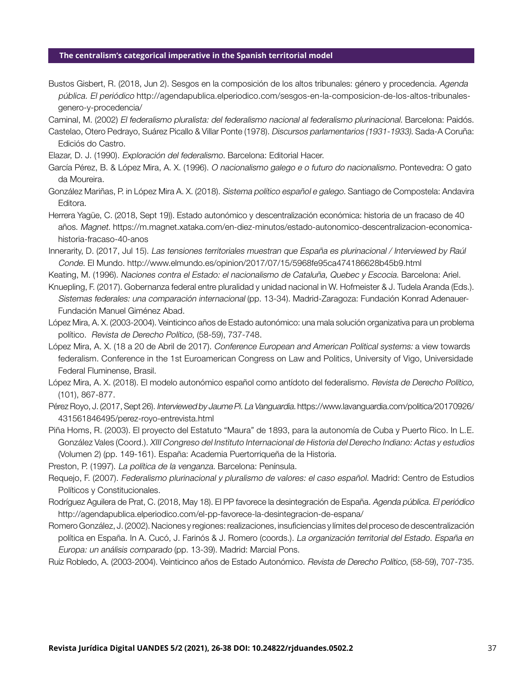Bustos Gisbert, R. (2018, Jun 2). Sesgos en la composición de los altos tribunales: género y procedencia. Agenda pública. El periódico http://agendapublica.elperiodico.com/sesgos-en-la-composicion-de-los-altos-tribunalesgenero-y-procedencia/

Caminal, M. (2002) El federalismo pluralista: del federalismo nacional al federalismo plurinacional. Barcelona: Paidós.

- Castelao, Otero Pedrayo, Suárez Picallo & Villar Ponte (1978). Discursos parlamentarios (1931-1933). Sada-A Coruña: Ediciós do Castro.
- Elazar, D. J. (1990). Exploración del federalismo. Barcelona: Editorial Hacer.
- García Pérez, B. & López Mira, A. X. (1996). O nacionalismo galego e o futuro do nacionalismo. Pontevedra: O gato da Moureira.

González Mariñas, P. in López Mira A. X. (2018). Sistema político español e galego. Santiago de Compostela: Andavira Editora.

Herrera Yagüe, C. (2018, Sept 19)). Estado autonómico y descentralización económica: historia de un fracaso de 40 años. Magnet. https://m.magnet.xataka.com/en-diez-minutos/estado-autonomico-descentralizacion-economicahistoria-fracaso-40-anos

Innerarity, D. (2017, Jul 15). Las tensiones territoriales muestran que España es plurinacional / Interviewed by Raúl Conde. El Mundo. http://www.elmundo.es/opinion/2017/07/15/5968fe95ca474186628b45b9.html

Keating, M. (1996). Naciones contra el Estado: el nacionalismo de Cataluña, Quebec y Escocia. Barcelona: Ariel.

- Knuepling, F. (2017). Gobernanza federal entre pluralidad y unidad nacional in W. Hofmeister & J. Tudela Aranda (Eds.). Sistemas federales: una comparación internacional (pp. 13-34). Madrid-Zaragoza: Fundación Konrad Adenauer-Fundación Manuel Giménez Abad.
- López Mira, A. X. (2003-2004). Veinticinco años de Estado autonómico: una mala solución organizativa para un problema político. Revista de Derecho Político, (58-59), 737-748.
- López Mira, A. X. (18 a 20 de Abril de 2017). Conference European and American Political systems: a view towards federalism. Conference in the 1st Euroamerican Congress on Law and Politics, University of Vigo, Universidade Federal Fluminense, Brasil.

López Mira, A. X. (2018). El modelo autonómico español como antídoto del federalismo. Revista de Derecho Político, (101), 867-877.

- Pérez Royo, J. (2017, Sept 26). Interviewed by Jaume Pi. La Vanguardia. https://www.lavanguardia.com/politica/20170926/ 431561846495/perez-royo-entrevista.html
- Piña Homs, R. (2003). El proyecto del Estatuto "Maura" de 1893, para la autonomía de Cuba y Puerto Rico. In L.E. González Vales (Coord.). XIII Congreso del Instituto Internacional de Historia del Derecho Indiano: Actas y estudios (Volumen 2) (pp. 149-161). España: Academia Puertorriqueña de la Historia.

Preston, P. (1997). La política de la venganza. Barcelona: Península.

- Requejo, F. (2007). Federalismo plurinacional y pluralismo de valores: el caso español. Madrid: Centro de Estudios Políticos y Constitucionales.
- Rodríguez Aguilera de Prat, C. (2018, May 18). El PP favorece la desintegración de España. Agenda pública. El periódico http://agendapublica.elperiodico.com/el-pp-favorece-la-desintegracion-de-espana/
- Romero González, J. (2002). Naciones y regiones: realizaciones, insuficiencias y límites del proceso de descentralización política en España. In A. Cucó, J. Farinós & J. Romero (coords.). La organización territorial del Estado. España en Europa: un análisis comparado (pp. 13-39). Madrid: Marcial Pons.
- Ruiz Robledo, A. (2003-2004). Veinticinco años de Estado Autonómico. Revista de Derecho Político, (58-59), 707-735.